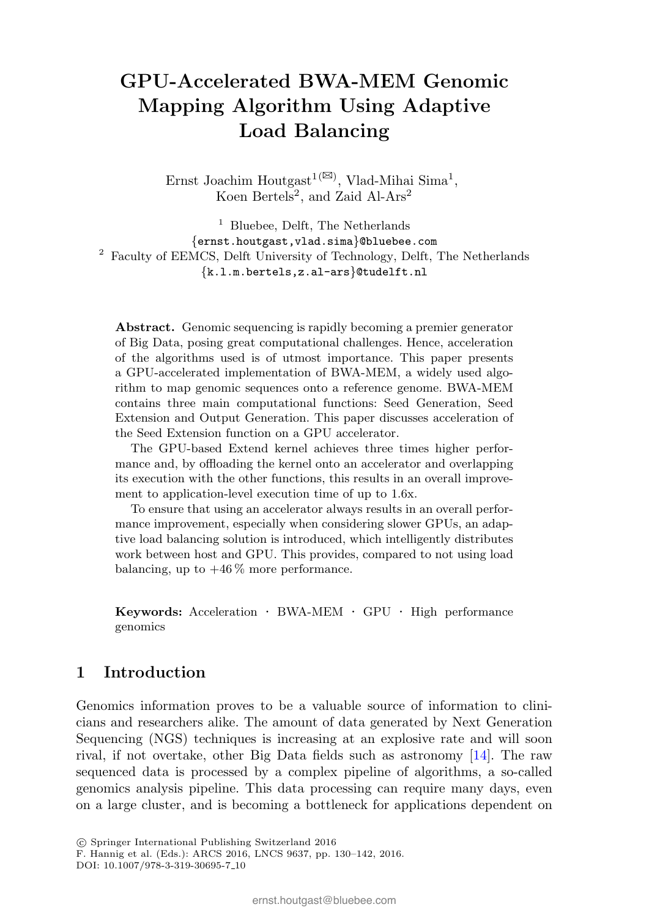# GPU-Accelerated BWA-MEM Genomic Mapping Algorithm Using Adaptive Load Balancing

Ernst Joachim Houtgast<sup>1( $\boxtimes$ )</sup>, Vlad-Mihai Sima<sup>1</sup>, Koen Bertels<sup>2</sup>, and Zaid Al-Ars<sup>2</sup>

 $<sup>1</sup>$  Bluebee, Delft, The Netherlands</sup> {ernst.houtgast,vlad.sima}@bluebee.com <sup>2</sup> Faculty of EEMCS, Delft University of Technology, Delft, The Netherlands {k.l.m.bertels,z.al-ars}@tudelft.nl

Abstract. Genomic sequencing is rapidly becoming a premier generator of Big Data, posing great computational challenges. Hence, acceleration of the algorithms used is of utmost importance. This paper presents a GPU-accelerated implementation of BWA-MEM, a widely used algorithm to map genomic sequences onto a reference genome. BWA-MEM contains three main computational functions: Seed Generation, Seed Extension and Output Generation. This paper discusses acceleration of the Seed Extension function on a GPU accelerator.

The GPU-based Extend kernel achieves three times higher performance and, by offloading the kernel onto an accelerator and overlapping its execution with the other functions, this results in an overall improvement to application-level execution time of up to 1.6x.

To ensure that using an accelerator always results in an overall performance improvement, especially when considering slower GPUs, an adaptive load balancing solution is introduced, which intelligently distributes work between host and GPU. This provides, compared to not using load balancing, up to  $+46\%$  more performance.

Keywords: Acceleration · BWA-MEM · GPU · High performance genomics

#### 1 Introduction

Genomics information proves to be a valuable source of information to clinicians and researchers alike. The amount of data generated by Next Generation Sequencing (NGS) techniques is increasing at an explosive rate and will soon rival, if not overtake, other Big Data fields such as astronomy [14]. The raw sequenced data is processed by a complex pipeline of algorithms, a so-called genomics analysis pipeline. This data processing can require many days, even on a large cluster, and is becoming a bottleneck for applications dependent on

<sup>�</sup>c Springer International Publishing Switzerland 2016

F. Hannig et al. (Eds.): ARCS 2016, LNCS 9637, pp. 130–142, 2016.

DOI: 10.1007/978-3-319-30695-7 10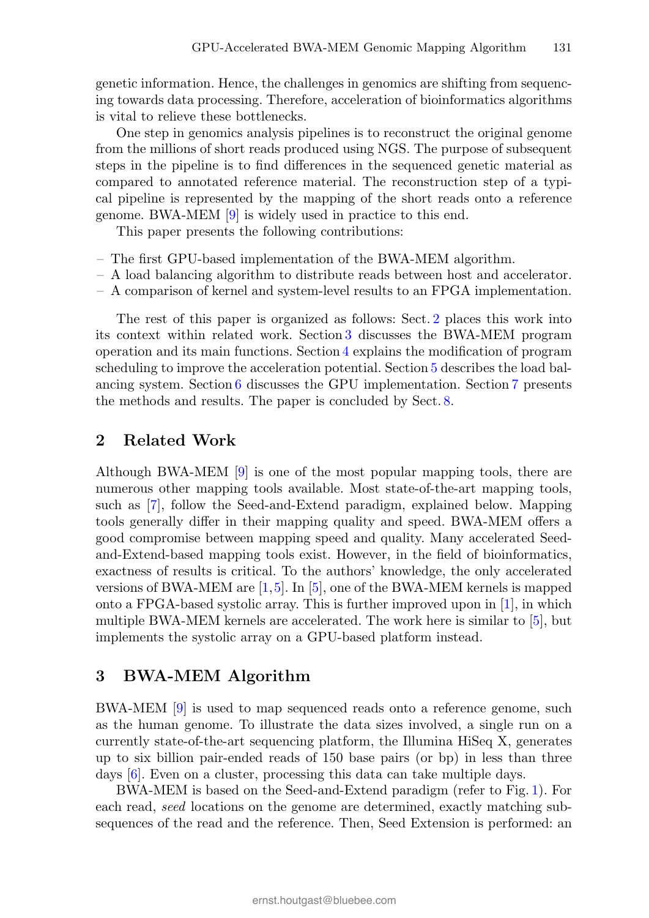genetic information. Hence, the challenges in genomics are shifting from sequencing towards data processing. Therefore, acceleration of bioinformatics algorithms is vital to relieve these bottlenecks.

One step in genomics analysis pipelines is to reconstruct the original genome from the millions of short reads produced using NGS. The purpose of subsequent steps in the pipeline is to find differences in the sequenced genetic material as compared to annotated reference material. The reconstruction step of a typical pipeline is represented by the mapping of the short reads onto a reference genome. BWA-MEM [9] is widely used in practice to this end.

This paper presents the following contributions:

- The first GPU-based implementation of the BWA-MEM algorithm.
- A load balancing algorithm to distribute reads between host and accelerator.
- A comparison of kernel and system-level results to an FPGA implementation.

The rest of this paper is organized as follows: Sect. 2 places this work into its context within related work. Section 3 discusses the BWA-MEM program operation and its main functions. Section 4 explains the modification of program scheduling to improve the acceleration potential. Section 5 describes the load balancing system. Section 6 discusses the GPU implementation. Section 7 presents the methods and results. The paper is concluded by Sect. 8.

### 2 Related Work

Although BWA-MEM [9] is one of the most popular mapping tools, there are numerous other mapping tools available. Most state-of-the-art mapping tools, such as [7], follow the Seed-and-Extend paradigm, explained below. Mapping tools generally differ in their mapping quality and speed. BWA-MEM offers a good compromise between mapping speed and quality. Many accelerated Seedand-Extend-based mapping tools exist. However, in the field of bioinformatics, exactness of results is critical. To the authors' knowledge, the only accelerated versions of BWA-MEM are  $[1,5]$ . In  $[5]$ , one of the BWA-MEM kernels is mapped onto a FPGA-based systolic array. This is further improved upon in [1], in which multiple BWA-MEM kernels are accelerated. The work here is similar to [5], but implements the systolic array on a GPU-based platform instead.

### 3 BWA-MEM Algorithm

BWA-MEM [9] is used to map sequenced reads onto a reference genome, such as the human genome. To illustrate the data sizes involved, a single run on a currently state-of-the-art sequencing platform, the Illumina HiSeq X, generates up to six billion pair-ended reads of 150 base pairs (or bp) in less than three days [6]. Even on a cluster, processing this data can take multiple days.

BWA-MEM is based on the Seed-and-Extend paradigm (refer to Fig. 1). For each read, seed locations on the genome are determined, exactly matching subsequences of the read and the reference. Then, Seed Extension is performed: an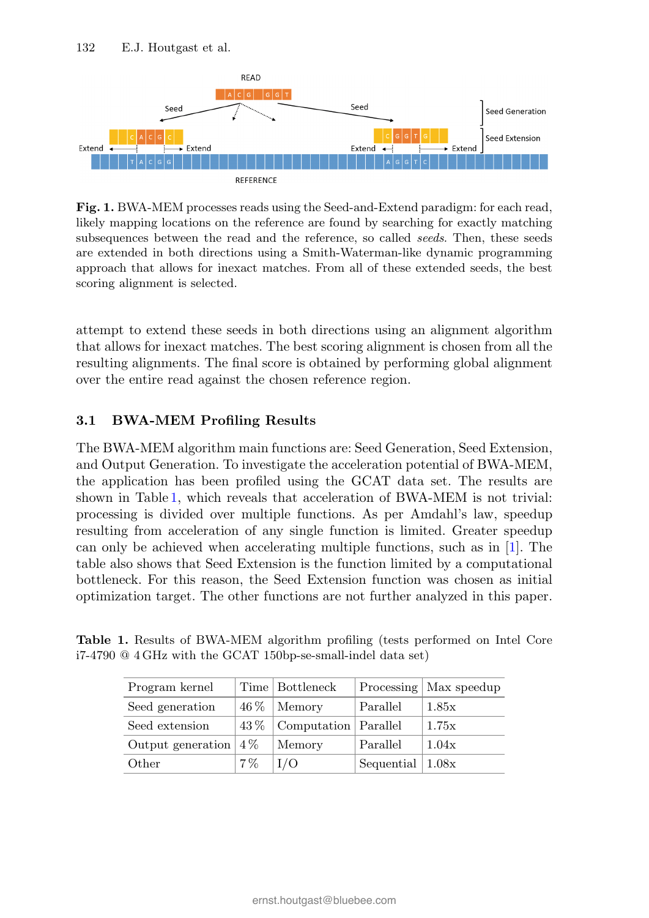

Fig. 1. BWA-MEM processes reads using the Seed-and-Extend paradigm: for each read, likely mapping locations on the reference are found by searching for exactly matching subsequences between the read and the reference, so called *seeds*. Then, these seeds are extended in both directions using a Smith-Waterman-like dynamic programming approach that allows for inexact matches. From all of these extended seeds, the best scoring alignment is selected.

attempt to extend these seeds in both directions using an alignment algorithm that allows for inexact matches. The best scoring alignment is chosen from all the resulting alignments. The final score is obtained by performing global alignment over the entire read against the chosen reference region.

#### 3.1 BWA-MEM Profiling Results

The BWA-MEM algorithm main functions are: Seed Generation, Seed Extension, and Output Generation. To investigate the acceleration potential of BWA-MEM, the application has been profiled using the GCAT data set. The results are shown in Table 1, which reveals that acceleration of BWA-MEM is not trivial: processing is divided over multiple functions. As per Amdahl's law, speedup resulting from acceleration of any single function is limited. Greater speedup can only be achieved when accelerating multiple functions, such as in [1]. The table also shows that Seed Extension is the function limited by a computational bottleneck. For this reason, the Seed Extension function was chosen as initial optimization target. The other functions are not further analyzed in this paper.

Table 1. Results of BWA-MEM algorithm profiling (tests performed on Intel Core i7-4790 @ 4 GHz with the GCAT 150bp-se-small-indel data set)

| Program kernel          |       | Time   Bottleneck               |                                | Processing   Max speedup |
|-------------------------|-------|---------------------------------|--------------------------------|--------------------------|
| Seed generation         |       | $46\%$ Memory                   | Parallel                       | 1.85x                    |
| Seed extension          |       | $43\%$   Computation   Parallel |                                | 1.75x                    |
| Output generation $4\%$ |       | Memory                          | Parallel                       | 1.04x                    |
| Other                   | $7\%$ | I/O                             | Sequential $\vert 1.08x \vert$ |                          |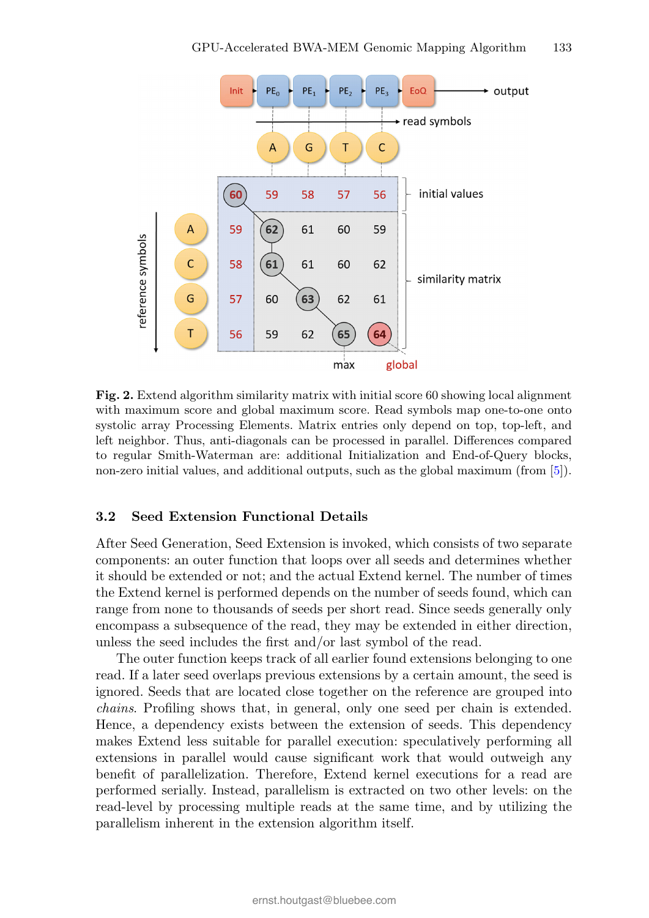

Fig. 2. Extend algorithm similarity matrix with initial score 60 showing local alignment with maximum score and global maximum score. Read symbols map one-to-one onto systolic array Processing Elements. Matrix entries only depend on top, top-left, and left neighbor. Thus, anti-diagonals can be processed in parallel. Differences compared to regular Smith-Waterman are: additional Initialization and End-of-Query blocks, non-zero initial values, and additional outputs, such as the global maximum (from [5]).

#### 3.2 Seed Extension Functional Details

After Seed Generation, Seed Extension is invoked, which consists of two separate components: an outer function that loops over all seeds and determines whether it should be extended or not; and the actual Extend kernel. The number of times the Extend kernel is performed depends on the number of seeds found, which can range from none to thousands of seeds per short read. Since seeds generally only encompass a subsequence of the read, they may be extended in either direction, unless the seed includes the first and/or last symbol of the read.

The outer function keeps track of all earlier found extensions belonging to one read. If a later seed overlaps previous extensions by a certain amount, the seed is ignored. Seeds that are located close together on the reference are grouped into chains. Profiling shows that, in general, only one seed per chain is extended. Hence, a dependency exists between the extension of seeds. This dependency makes Extend less suitable for parallel execution: speculatively performing all extensions in parallel would cause significant work that would outweigh any benefit of parallelization. Therefore, Extend kernel executions for a read are performed serially. Instead, parallelism is extracted on two other levels: on the read-level by processing multiple reads at the same time, and by utilizing the parallelism inherent in the extension algorithm itself.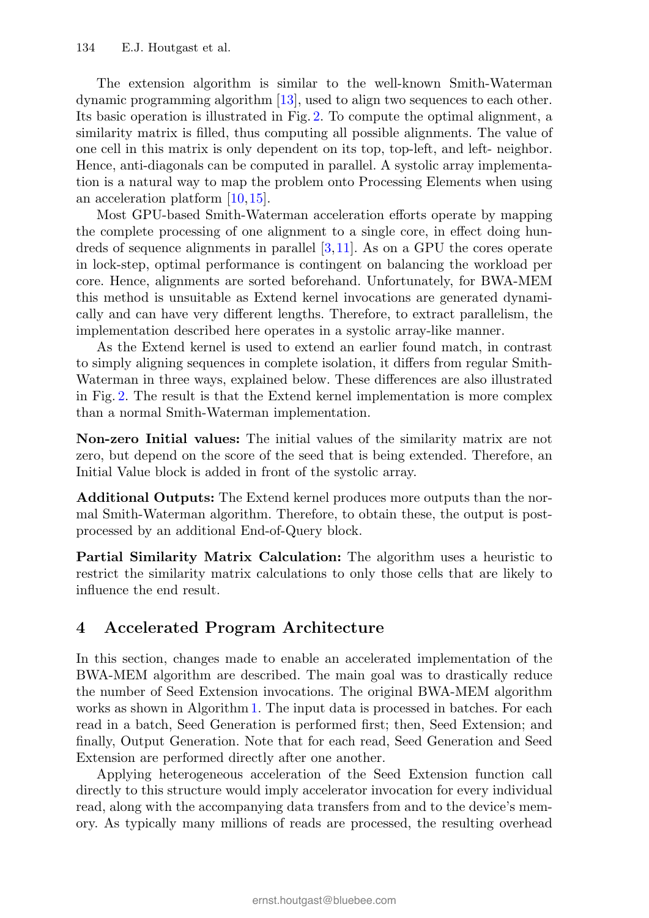The extension algorithm is similar to the well-known Smith-Waterman dynamic programming algorithm [13], used to align two sequences to each other. Its basic operation is illustrated in Fig. 2. To compute the optimal alignment, a similarity matrix is filled, thus computing all possible alignments. The value of one cell in this matrix is only dependent on its top, top-left, and left- neighbor. Hence, anti-diagonals can be computed in parallel. A systolic array implementation is a natural way to map the problem onto Processing Elements when using an acceleration platform [10,15].

Most GPU-based Smith-Waterman acceleration efforts operate by mapping the complete processing of one alignment to a single core, in effect doing hundreds of sequence alignments in parallel [3,11]. As on a GPU the cores operate in lock-step, optimal performance is contingent on balancing the workload per core. Hence, alignments are sorted beforehand. Unfortunately, for BWA-MEM this method is unsuitable as Extend kernel invocations are generated dynamically and can have very different lengths. Therefore, to extract parallelism, the implementation described here operates in a systolic array-like manner.

As the Extend kernel is used to extend an earlier found match, in contrast to simply aligning sequences in complete isolation, it differs from regular Smith-Waterman in three ways, explained below. These differences are also illustrated in Fig. 2. The result is that the Extend kernel implementation is more complex than a normal Smith-Waterman implementation.

Non-zero Initial values: The initial values of the similarity matrix are not zero, but depend on the score of the seed that is being extended. Therefore, an Initial Value block is added in front of the systolic array.

Additional Outputs: The Extend kernel produces more outputs than the normal Smith-Waterman algorithm. Therefore, to obtain these, the output is postprocessed by an additional End-of-Query block.

Partial Similarity Matrix Calculation: The algorithm uses a heuristic to restrict the similarity matrix calculations to only those cells that are likely to influence the end result.

## 4 Accelerated Program Architecture

In this section, changes made to enable an accelerated implementation of the BWA-MEM algorithm are described. The main goal was to drastically reduce the number of Seed Extension invocations. The original BWA-MEM algorithm works as shown in Algorithm 1. The input data is processed in batches. For each read in a batch, Seed Generation is performed first; then, Seed Extension; and finally, Output Generation. Note that for each read, Seed Generation and Seed Extension are performed directly after one another.

Applying heterogeneous acceleration of the Seed Extension function call directly to this structure would imply accelerator invocation for every individual read, along with the accompanying data transfers from and to the device's memory. As typically many millions of reads are processed, the resulting overhead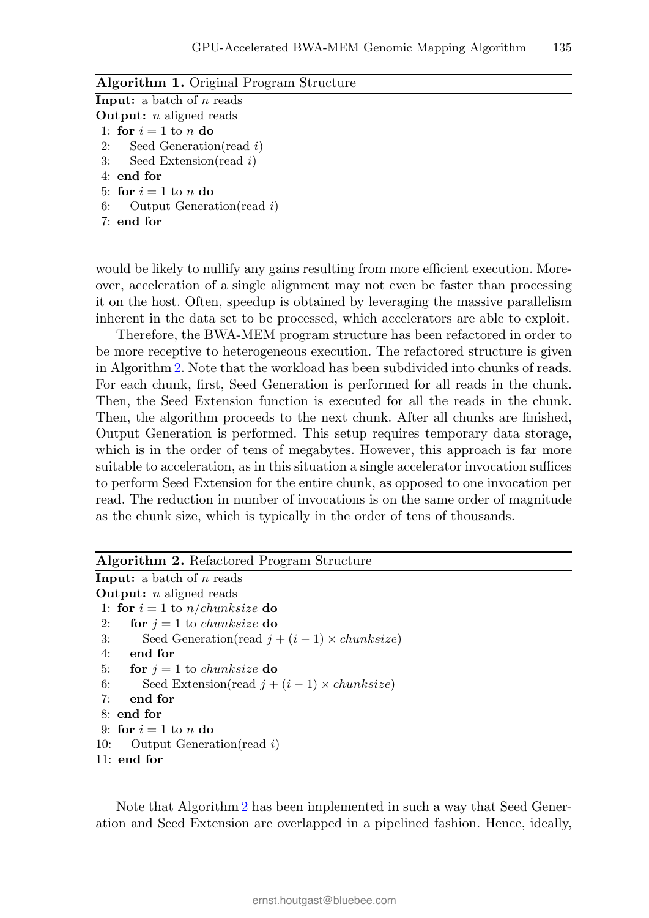| <b>Algorithm 1.</b> Original Program Structure |
|------------------------------------------------|
| <b>Input:</b> a batch of $n$ reads             |
| <b>Output:</b> $n$ aligned reads               |
| 1: for $i=1$ to n do                           |
| 2: Seed Generation (read i)                    |
| 3: Seed Extension (read i)                     |
| $4:$ end for                                   |
| 5: for $i=1$ to n do                           |
| 6: Output Generation (read $i$ )               |
| 7: end for                                     |
|                                                |

would be likely to nullify any gains resulting from more efficient execution. Moreover, acceleration of a single alignment may not even be faster than processing it on the host. Often, speedup is obtained by leveraging the massive parallelism inherent in the data set to be processed, which accelerators are able to exploit.

Therefore, the BWA-MEM program structure has been refactored in order to be more receptive to heterogeneous execution. The refactored structure is given in Algorithm 2. Note that the workload has been subdivided into chunks of reads. For each chunk, first, Seed Generation is performed for all reads in the chunk. Then, the Seed Extension function is executed for all the reads in the chunk. Then, the algorithm proceeds to the next chunk. After all chunks are finished, Output Generation is performed. This setup requires temporary data storage, which is in the order of tens of megabytes. However, this approach is far more suitable to acceleration, as in this situation a single accelerator invocation suffices to perform Seed Extension for the entire chunk, as opposed to one invocation per read. The reduction in number of invocations is on the same order of magnitude as the chunk size, which is typically in the order of tens of thousands.

Note that Algorithm 2 has been implemented in such a way that Seed Generation and Seed Extension are overlapped in a pipelined fashion. Hence, ideally,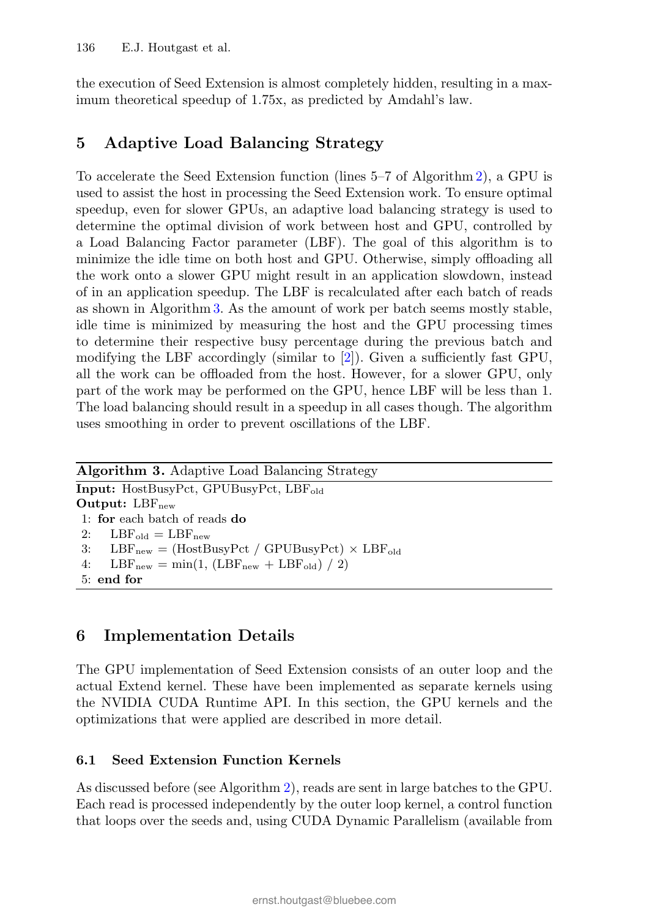the execution of Seed Extension is almost completely hidden, resulting in a maximum theoretical speedup of 1.75x, as predicted by Amdahl's law.

## 5 Adaptive Load Balancing Strategy

To accelerate the Seed Extension function (lines 5–7 of Algorithm 2), a GPU is used to assist the host in processing the Seed Extension work. To ensure optimal speedup, even for slower GPUs, an adaptive load balancing strategy is used to determine the optimal division of work between host and GPU, controlled by a Load Balancing Factor parameter (LBF). The goal of this algorithm is to minimize the idle time on both host and GPU. Otherwise, simply offloading all the work onto a slower GPU might result in an application slowdown, instead of in an application speedup. The LBF is recalculated after each batch of reads as shown in Algorithm 3. As the amount of work per batch seems mostly stable, idle time is minimized by measuring the host and the GPU processing times to determine their respective busy percentage during the previous batch and modifying the LBF accordingly (similar to [2]). Given a sufficiently fast GPU, all the work can be offloaded from the host. However, for a slower GPU, only part of the work may be performed on the GPU, hence LBF will be less than 1. The load balancing should result in a speedup in all cases though. The algorithm uses smoothing in order to prevent oscillations of the LBF.

| <b>Algorithm 3.</b> Adaptive Load Balancing Strategy                                            |
|-------------------------------------------------------------------------------------------------|
| <b>Input:</b> HostBusyPct, GPUBusyPct, $LBF_{old}$                                              |
| Output: $LBF_{new}$                                                                             |
| 1: for each batch of reads do                                                                   |
| 2: $LBF_{old} = LBF_{new}$                                                                      |
| 3: $LBF_{new} = (HostBusyPct / GPUBusyPct) \times LBF_{old}$                                    |
| 4: $\text{LBF}_{\text{new}} = \min(1, (\text{LBF}_{\text{new}} + \text{LBF}_{\text{old}}) / 2)$ |
| 5: end for                                                                                      |

## 6 Implementation Details

The GPU implementation of Seed Extension consists of an outer loop and the actual Extend kernel. These have been implemented as separate kernels using the NVIDIA CUDA Runtime API. In this section, the GPU kernels and the optimizations that were applied are described in more detail.

#### 6.1 Seed Extension Function Kernels

As discussed before (see Algorithm 2), reads are sent in large batches to the GPU. Each read is processed independently by the outer loop kernel, a control function that loops over the seeds and, using CUDA Dynamic Parallelism (available from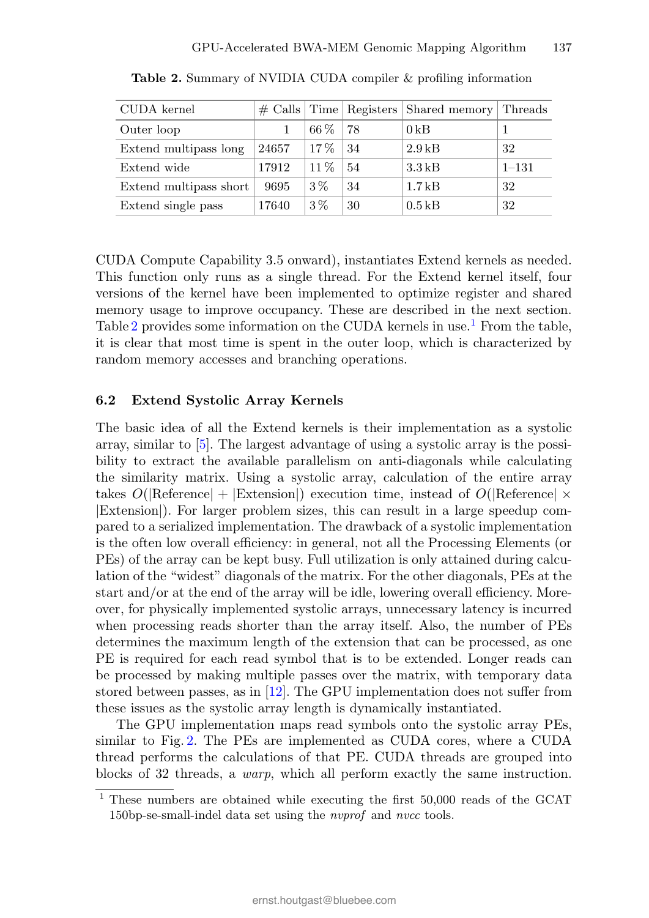| CUDA kernel            |       |        |     | $\#$ Calls   Time   Registers   Shared memory   Threads |           |
|------------------------|-------|--------|-----|---------------------------------------------------------|-----------|
| Outer loop             |       | 66 %   | -78 | 0 <sub>kB</sub>                                         |           |
| Extend multipass long  | 24657 | $17\%$ | -34 | $2.9$ kB                                                | 32        |
| Extend wide            | 17912 | 11%    | 54  | $3.3\,\mathrm{kB}$                                      | $1 - 131$ |
| Extend multipass short | 9695  | $3\%$  | 34  | $1.7$ kB                                                | 32        |
| Extend single pass     | 17640 | $3\%$  | 30  | $0.5$ kB                                                | 32        |

Table 2. Summary of NVIDIA CUDA compiler & profiling information

CUDA Compute Capability 3.5 onward), instantiates Extend kernels as needed. This function only runs as a single thread. For the Extend kernel itself, four versions of the kernel have been implemented to optimize register and shared memory usage to improve occupancy. These are described in the next section. Table 2 provides some information on the CUDA kernels in use.<sup>1</sup> From the table, it is clear that most time is spent in the outer loop, which is characterized by random memory accesses and branching operations.

#### 6.2 Extend Systolic Array Kernels

The basic idea of all the Extend kernels is their implementation as a systolic array, similar to [5]. The largest advantage of using a systolic array is the possibility to extract the available parallelism on anti-diagonals while calculating the similarity matrix. Using a systolic array, calculation of the entire array takes  $O(|\text{Reference}| + |\text{Extension}|)$  execution time, instead of  $O(|\text{Reference}| \times$ |Extension|). For larger problem sizes, this can result in a large speedup compared to a serialized implementation. The drawback of a systolic implementation is the often low overall efficiency: in general, not all the Processing Elements (or PEs) of the array can be kept busy. Full utilization is only attained during calculation of the "widest" diagonals of the matrix. For the other diagonals, PEs at the start and/or at the end of the array will be idle, lowering overall efficiency. Moreover, for physically implemented systolic arrays, unnecessary latency is incurred when processing reads shorter than the array itself. Also, the number of PEs determines the maximum length of the extension that can be processed, as one PE is required for each read symbol that is to be extended. Longer reads can be processed by making multiple passes over the matrix, with temporary data stored between passes, as in [12]. The GPU implementation does not suffer from these issues as the systolic array length is dynamically instantiated.

The GPU implementation maps read symbols onto the systolic array PEs, similar to Fig. 2. The PEs are implemented as CUDA cores, where a CUDA thread performs the calculations of that PE. CUDA threads are grouped into blocks of 32 threads, a warp, which all perform exactly the same instruction.

<sup>&</sup>lt;sup>1</sup> These numbers are obtained while executing the first 50,000 reads of the GCAT 150bp-se-small-indel data set using the *nvprof* and *nvcc* tools.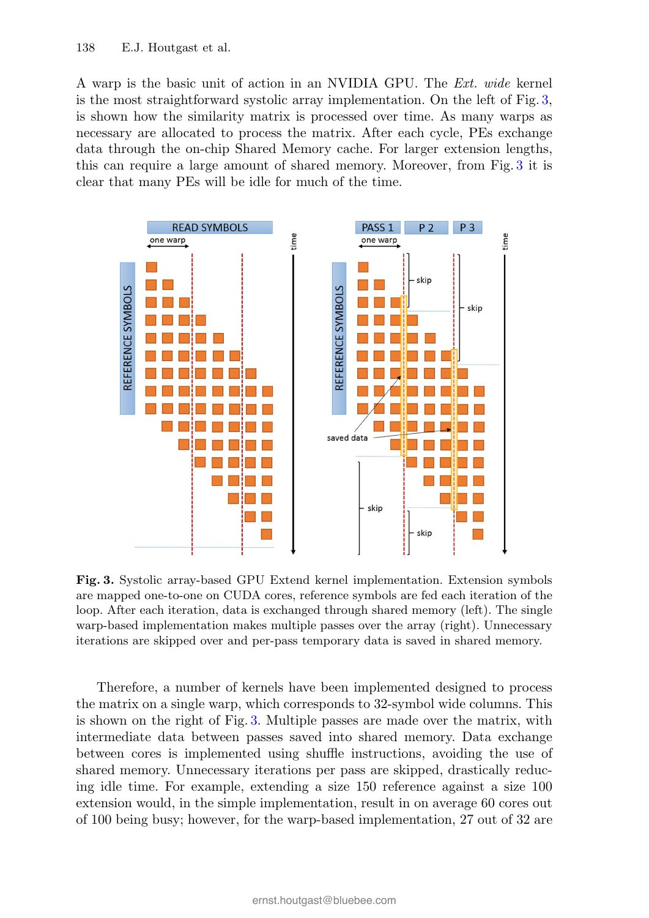A warp is the basic unit of action in an NVIDIA GPU. The Ext. wide kernel is the most straightforward systolic array implementation. On the left of Fig. 3, is shown how the similarity matrix is processed over time. As many warps as necessary are allocated to process the matrix. After each cycle, PEs exchange data through the on-chip Shared Memory cache. For larger extension lengths, this can require a large amount of shared memory. Moreover, from Fig. 3 it is clear that many PEs will be idle for much of the time.



Fig. 3. Systolic array-based GPU Extend kernel implementation. Extension symbols are mapped one-to-one on CUDA cores, reference symbols are fed each iteration of the loop. After each iteration, data is exchanged through shared memory (left). The single warp-based implementation makes multiple passes over the array (right). Unnecessary iterations are skipped over and per-pass temporary data is saved in shared memory.

Therefore, a number of kernels have been implemented designed to process the matrix on a single warp, which corresponds to 32-symbol wide columns. This is shown on the right of Fig. 3. Multiple passes are made over the matrix, with intermediate data between passes saved into shared memory. Data exchange between cores is implemented using shuffle instructions, avoiding the use of shared memory. Unnecessary iterations per pass are skipped, drastically reducing idle time. For example, extending a size 150 reference against a size 100 extension would, in the simple implementation, result in on average 60 cores out of 100 being busy; however, for the warp-based implementation, 27 out of 32 are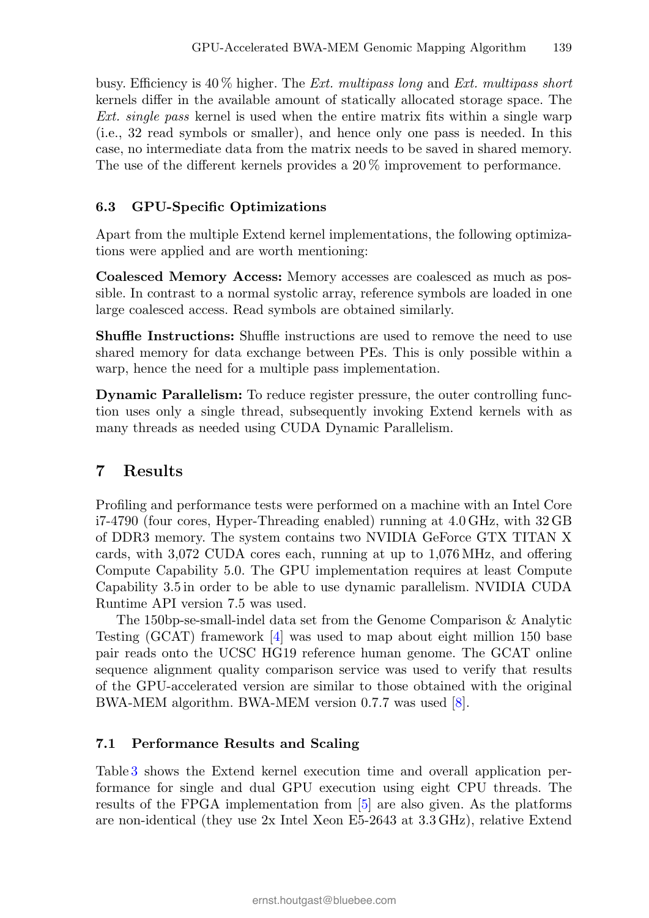busy. Efficiency is  $40\%$  higher. The *Ext. multipass long* and *Ext. multipass short* kernels differ in the available amount of statically allocated storage space. The Ext. single pass kernel is used when the entire matrix fits within a single warp (i.e., 32 read symbols or smaller), and hence only one pass is needed. In this case, no intermediate data from the matrix needs to be saved in shared memory. The use of the different kernels provides a 20 % improvement to performance.

#### 6.3 GPU-Specific Optimizations

Apart from the multiple Extend kernel implementations, the following optimizations were applied and are worth mentioning:

Coalesced Memory Access: Memory accesses are coalesced as much as possible. In contrast to a normal systolic array, reference symbols are loaded in one large coalesced access. Read symbols are obtained similarly.

Shuffle Instructions: Shuffle instructions are used to remove the need to use shared memory for data exchange between PEs. This is only possible within a warp, hence the need for a multiple pass implementation.

Dynamic Parallelism: To reduce register pressure, the outer controlling function uses only a single thread, subsequently invoking Extend kernels with as many threads as needed using CUDA Dynamic Parallelism.

### 7 Results

Profiling and performance tests were performed on a machine with an Intel Core i7-4790 (four cores, Hyper-Threading enabled) running at 4.0 GHz, with 32 GB of DDR3 memory. The system contains two NVIDIA GeForce GTX TITAN X cards, with 3,072 CUDA cores each, running at up to 1,076 MHz, and offering Compute Capability 5.0. The GPU implementation requires at least Compute Capability 3.5 in order to be able to use dynamic parallelism. NVIDIA CUDA Runtime API version 7.5 was used.

The 150bp-se-small-indel data set from the Genome Comparison & Analytic Testing (GCAT) framework [4] was used to map about eight million 150 base pair reads onto the UCSC HG19 reference human genome. The GCAT online sequence alignment quality comparison service was used to verify that results of the GPU-accelerated version are similar to those obtained with the original BWA-MEM algorithm. BWA-MEM version 0.7.7 was used [8].

#### 7.1 Performance Results and Scaling

Table 3 shows the Extend kernel execution time and overall application performance for single and dual GPU execution using eight CPU threads. The results of the FPGA implementation from [5] are also given. As the platforms are non-identical (they use 2x Intel Xeon E5-2643 at 3.3 GHz), relative Extend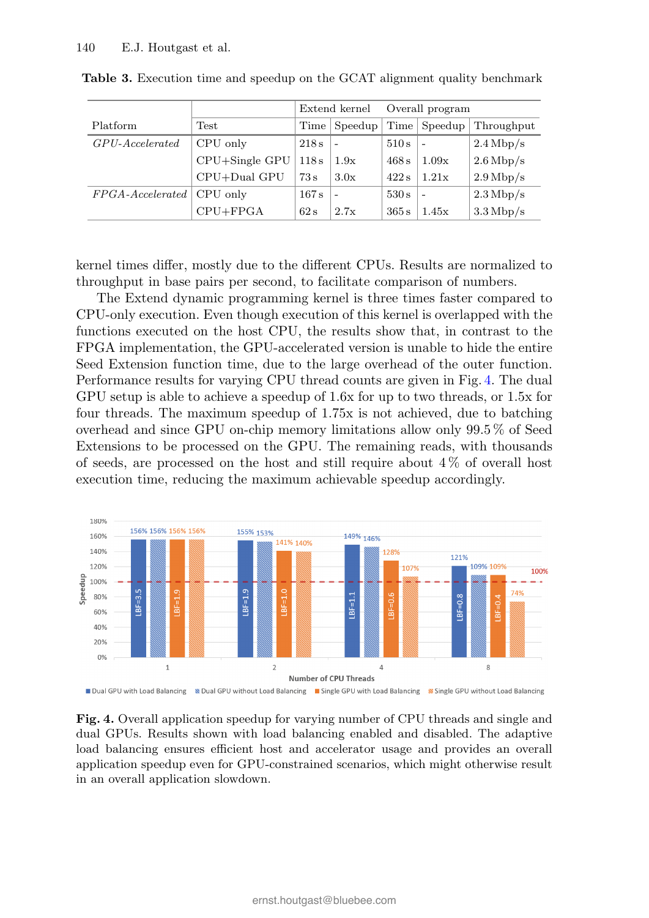|                        |                    | Extend kernel |                          | Overall program |                          |                        |
|------------------------|--------------------|---------------|--------------------------|-----------------|--------------------------|------------------------|
| Platform               | Test               | Time          | $S$ peedup               |                 | Time   Speedup           | Throughput             |
| $GPU$ - $Accelerated$  | CPU only           | 218s          | $\overline{\phantom{a}}$ | 510 s           | $\sim$                   | $2.4 \text{ Mbp/s}$    |
|                        | $CPU + Single GPU$ | 118s          | 1.9x                     | 468 s           | 1.09x                    | $2.6 \,\mathrm{Mbp/s}$ |
|                        | CPU+Dual GPU       | 73 s          | 3.0x                     | 422 s           | 1.21x                    | $2.9 \,\mathrm{Mbp/s}$ |
| $FPGA$ - $Accelerated$ | CPU only           | 167 s         | $\overline{\phantom{a}}$ | 530 s           | $\overline{\phantom{a}}$ | $2.3 \,\mathrm{Mbp/s}$ |
|                        | $CPU + FPGA$       | 62 s          | 2.7x                     | 365 s           | 1.45x                    | $3.3 \,\mathrm{Mbp/s}$ |

Table 3. Execution time and speedup on the GCAT alignment quality benchmark

kernel times differ, mostly due to the different CPUs. Results are normalized to throughput in base pairs per second, to facilitate comparison of numbers.

The Extend dynamic programming kernel is three times faster compared to CPU-only execution. Even though execution of this kernel is overlapped with the functions executed on the host CPU, the results show that, in contrast to the FPGA implementation, the GPU-accelerated version is unable to hide the entire Seed Extension function time, due to the large overhead of the outer function. Performance results for varying CPU thread counts are given in Fig. 4. The dual GPU setup is able to achieve a speedup of 1.6x for up to two threads, or 1.5x for four threads. The maximum speedup of 1.75x is not achieved, due to batching overhead and since GPU on-chip memory limitations allow only 99.5 % of Seed Extensions to be processed on the GPU. The remaining reads, with thousands of seeds, are processed on the host and still require about  $4\%$  of overall host execution time, reducing the maximum achievable speedup accordingly.



Fig. 4. Overall application speedup for varying number of CPU threads and single and dual GPUs. Results shown with load balancing enabled and disabled. The adaptive load balancing ensures efficient host and accelerator usage and provides an overall application speedup even for GPU-constrained scenarios, which might otherwise result in an overall application slowdown.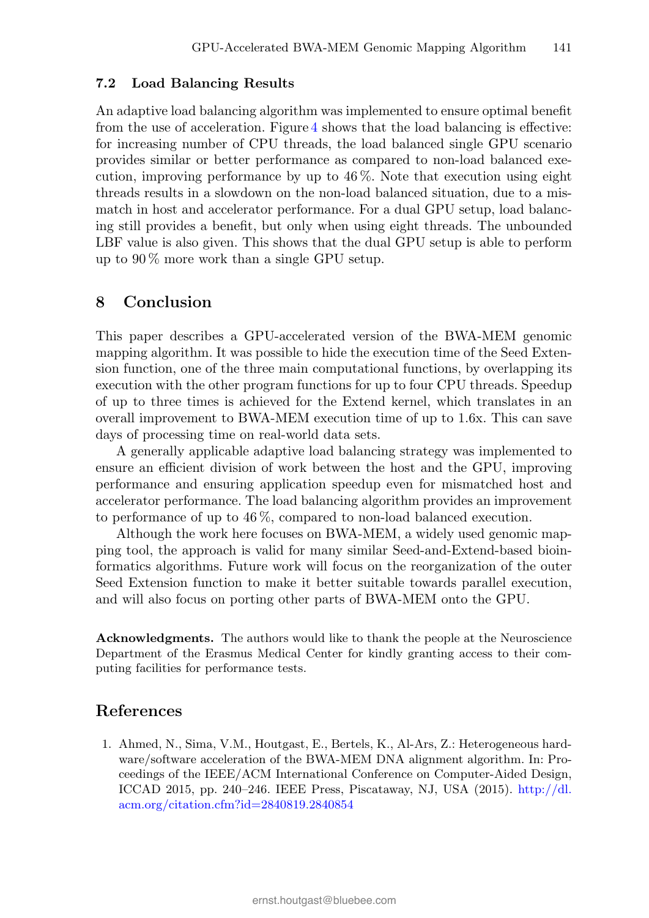#### 7.2 Load Balancing Results

An adaptive load balancing algorithm was implemented to ensure optimal benefit from the use of acceleration. Figure 4 shows that the load balancing is effective: for increasing number of CPU threads, the load balanced single GPU scenario provides similar or better performance as compared to non-load balanced execution, improving performance by up to  $46\%$ . Note that execution using eight threads results in a slowdown on the non-load balanced situation, due to a mismatch in host and accelerator performance. For a dual GPU setup, load balancing still provides a benefit, but only when using eight threads. The unbounded LBF value is also given. This shows that the dual GPU setup is able to perform up to 90 % more work than a single GPU setup.

#### 8 Conclusion

This paper describes a GPU-accelerated version of the BWA-MEM genomic mapping algorithm. It was possible to hide the execution time of the Seed Extension function, one of the three main computational functions, by overlapping its execution with the other program functions for up to four CPU threads. Speedup of up to three times is achieved for the Extend kernel, which translates in an overall improvement to BWA-MEM execution time of up to 1.6x. This can save days of processing time on real-world data sets.

A generally applicable adaptive load balancing strategy was implemented to ensure an efficient division of work between the host and the GPU, improving performance and ensuring application speedup even for mismatched host and accelerator performance. The load balancing algorithm provides an improvement to performance of up to 46 %, compared to non-load balanced execution.

Although the work here focuses on BWA-MEM, a widely used genomic mapping tool, the approach is valid for many similar Seed-and-Extend-based bioinformatics algorithms. Future work will focus on the reorganization of the outer Seed Extension function to make it better suitable towards parallel execution, and will also focus on porting other parts of BWA-MEM onto the GPU.

Acknowledgments. The authors would like to thank the people at the Neuroscience Department of the Erasmus Medical Center for kindly granting access to their computing facilities for performance tests.

#### References

1. Ahmed, N., Sima, V.M., Houtgast, E., Bertels, K., Al-Ars, Z.: Heterogeneous hardware/software acceleration of the BWA-MEM DNA alignment algorithm. In: Proceedings of the IEEE/ACM International Conference on Computer-Aided Design, ICCAD 2015, pp. 240–246. IEEE Press, Piscataway, NJ, USA (2015). http://dl. acm.org/citation.cfm?id=2840819.2840854